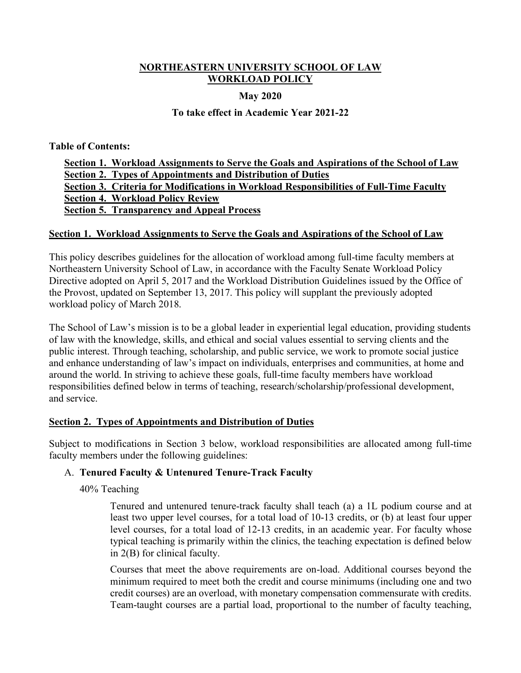## **NORTHEASTERN UNIVERSITY SCHOOL OF LAW WORKLOAD POLICY**

### **May 2020**

## **To take effect in Academic Year 2021-22**

**Table of Contents:** 

**Section 1. Workload Assignments to Serve the Goals and Aspirations of the School of Law Section 2. Types of Appointments and Distribution of Duties Section 3. Criteria for Modifications in Workload Responsibilities of Full-Time Faculty Section 4. Workload Policy Review Section 5. Transparency and Appeal Process**

### **Section 1. Workload Assignments to Serve the Goals and Aspirations of the School of Law**

This policy describes guidelines for the allocation of workload among full-time faculty members at Northeastern University School of Law, in accordance with the Faculty Senate Workload Policy Directive adopted on April 5, 2017 and the Workload Distribution Guidelines issued by the Office of the Provost, updated on September 13, 2017. This policy will supplant the previously adopted workload policy of March 2018.

The School of Law's mission is to be a global leader in experiential legal education, providing students of law with the knowledge, skills, and ethical and social values essential to serving clients and the public interest. Through teaching, scholarship, and public service, we work to promote social justice and enhance understanding of law's impact on individuals, enterprises and communities, at home and around the world. In striving to achieve these goals, full-time faculty members have workload responsibilities defined below in terms of teaching, research/scholarship/professional development, and service.

## **Section 2. Types of Appointments and Distribution of Duties**

Subject to modifications in Section 3 below, workload responsibilities are allocated among full-time faculty members under the following guidelines:

## A. **Tenured Faculty & Untenured Tenure-Track Faculty**

40% Teaching

Tenured and untenured tenure-track faculty shall teach (a) a 1L podium course and at least two upper level courses, for a total load of 10-13 credits, or (b) at least four upper level courses, for a total load of 12-13 credits, in an academic year. For faculty whose typical teaching is primarily within the clinics, the teaching expectation is defined below in 2(B) for clinical faculty.

Courses that meet the above requirements are on-load. Additional courses beyond the minimum required to meet both the credit and course minimums (including one and two credit courses) are an overload, with monetary compensation commensurate with credits. Team-taught courses are a partial load, proportional to the number of faculty teaching,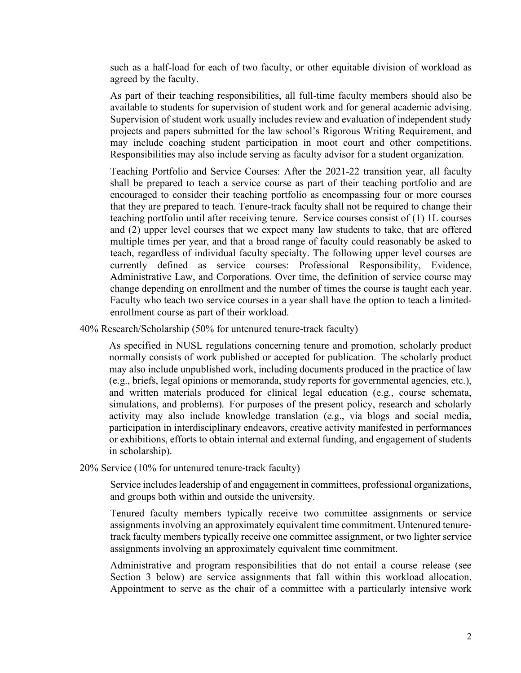such as a half-load for each of two faculty, or other equitable division of workload as agreed by the faculty.

As part of their teaching responsibilities, all full-time faculty members should also be available to students for supervision of student work and for general academic advising. Supervision of student work usually includes review and evaluation of independent study projects and papers submitted for the law school's Rigorous Writing Requirement, and may include coaching student participation in moot court and other competitions. Responsibilities may also include serving as faculty advisor for a student organization.

Teaching Portfolio and Service Courses: After the 2021-22 transition year, all faculty shall be prepared to teach a service course as part of their teaching portfolio and are encouraged to consider their teaching portfolio as encompassing four or more courses that they are prepared to teach. Tenure-track faculty shall not be required to change their teaching portfolio until after receiving tenure. Service courses consist of (1) 1L courses and (2) upper level courses that we expect many law students to take, that are offered multiple times per year, and that a broad range of faculty could reasonably be asked to teach, regardless of individual faculty specialty. The following upper level courses are currently defined as service courses: Professional Responsibility, Evidence, Administrative Law, and Corporations. Over time, the definition of service course may change depending on enrollment and the number of times the course is taught each year. Faculty who teach two service courses in a year shall have the option to teach a limitedenrollment course as part of their workload.

40% Research/Scholarship (50% for untenured tenure-track faculty)

As specified in NUSL regulations concerning tenure and promotion, scholarly product normally consists of work published or accepted for publication. The scholarly product may also include unpublished work, including documents produced in the practice of law (e.g., briefs, legal opinions or memoranda, study reports for governmental agencies, etc.), and written materials produced for clinical legal education (e.g., course schemata, simulations, and problems). For purposes of the present policy, research and scholarly activity may also include knowledge translation (e.g., via blogs and social media, participation in interdisciplinary endeavors, creative activity manifested in performances or exhibitions, efforts to obtain internal and external funding, and engagement of students in scholarship).

#### 20% Service (10% for untenured tenure-track faculty)

Service includes leadership of and engagement in committees, professional organizations, and groups both within and outside the university.

Tenured faculty members typically receive two committee assignments or service assignments involving an approximately equivalent time commitment. Untenured tenuretrack faculty members typically receive one committee assignment, or two lighter service assignments involving an approximately equivalent time commitment.

Administrative and program responsibilities that do not entail a course release (see Section 3 below) are service assignments that fall within this workload allocation. Appointment to serve as the chair of a committee with a particularly intensive work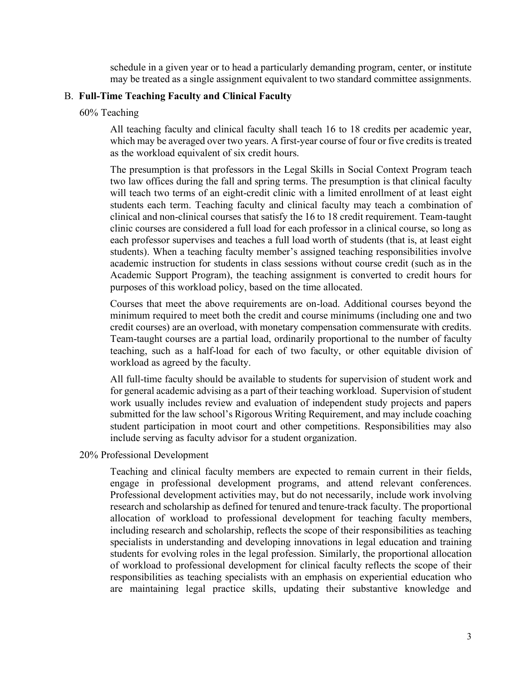schedule in a given year or to head a particularly demanding program, center, or institute may be treated as a single assignment equivalent to two standard committee assignments.

### B. **Full-Time Teaching Faculty and Clinical Faculty**

#### 60% Teaching

All teaching faculty and clinical faculty shall teach 16 to 18 credits per academic year, which may be averaged over two years. A first-year course of four or five credits is treated as the workload equivalent of six credit hours.

The presumption is that professors in the Legal Skills in Social Context Program teach two law offices during the fall and spring terms. The presumption is that clinical faculty will teach two terms of an eight-credit clinic with a limited enrollment of at least eight students each term. Teaching faculty and clinical faculty may teach a combination of clinical and non-clinical courses that satisfy the 16 to 18 credit requirement. Team-taught clinic courses are considered a full load for each professor in a clinical course, so long as each professor supervises and teaches a full load worth of students (that is, at least eight students). When a teaching faculty member's assigned teaching responsibilities involve academic instruction for students in class sessions without course credit (such as in the Academic Support Program), the teaching assignment is converted to credit hours for purposes of this workload policy, based on the time allocated.

Courses that meet the above requirements are on-load. Additional courses beyond the minimum required to meet both the credit and course minimums (including one and two credit courses) are an overload, with monetary compensation commensurate with credits. Team-taught courses are a partial load, ordinarily proportional to the number of faculty teaching, such as a half-load for each of two faculty, or other equitable division of workload as agreed by the faculty.

All full-time faculty should be available to students for supervision of student work and for general academic advising as a part of their teaching workload. Supervision of student work usually includes review and evaluation of independent study projects and papers submitted for the law school's Rigorous Writing Requirement, and may include coaching student participation in moot court and other competitions. Responsibilities may also include serving as faculty advisor for a student organization.

### 20% Professional Development

Teaching and clinical faculty members are expected to remain current in their fields, engage in professional development programs, and attend relevant conferences. Professional development activities may, but do not necessarily, include work involving research and scholarship as defined for tenured and tenure-track faculty. The proportional allocation of workload to professional development for teaching faculty members, including research and scholarship, reflects the scope of their responsibilities as teaching specialists in understanding and developing innovations in legal education and training students for evolving roles in the legal profession. Similarly, the proportional allocation of workload to professional development for clinical faculty reflects the scope of their responsibilities as teaching specialists with an emphasis on experiential education who are maintaining legal practice skills, updating their substantive knowledge and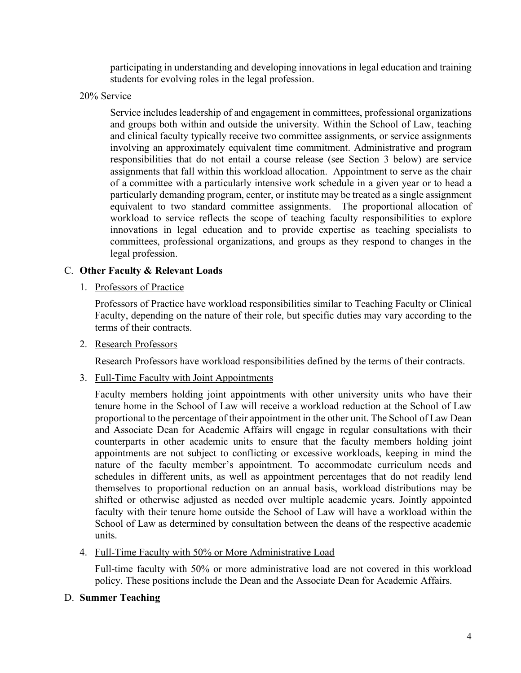participating in understanding and developing innovations in legal education and training students for evolving roles in the legal profession.

20% Service

Service includes leadership of and engagement in committees, professional organizations and groups both within and outside the university. Within the School of Law, teaching and clinical faculty typically receive two committee assignments, or service assignments involving an approximately equivalent time commitment. Administrative and program responsibilities that do not entail a course release (see Section 3 below) are service assignments that fall within this workload allocation. Appointment to serve as the chair of a committee with a particularly intensive work schedule in a given year or to head a particularly demanding program, center, or institute may be treated as a single assignment equivalent to two standard committee assignments. The proportional allocation of workload to service reflects the scope of teaching faculty responsibilities to explore innovations in legal education and to provide expertise as teaching specialists to committees, professional organizations, and groups as they respond to changes in the legal profession.

## C. **Other Faculty & Relevant Loads**

1. Professors of Practice

Professors of Practice have workload responsibilities similar to Teaching Faculty or Clinical Faculty, depending on the nature of their role, but specific duties may vary according to the terms of their contracts.

2. Research Professors

Research Professors have workload responsibilities defined by the terms of their contracts.

3. Full-Time Faculty with Joint Appointments

Faculty members holding joint appointments with other university units who have their tenure home in the School of Law will receive a workload reduction at the School of Law proportional to the percentage of their appointment in the other unit. The School of Law Dean and Associate Dean for Academic Affairs will engage in regular consultations with their counterparts in other academic units to ensure that the faculty members holding joint appointments are not subject to conflicting or excessive workloads, keeping in mind the nature of the faculty member's appointment. To accommodate curriculum needs and schedules in different units, as well as appointment percentages that do not readily lend themselves to proportional reduction on an annual basis, workload distributions may be shifted or otherwise adjusted as needed over multiple academic years. Jointly appointed faculty with their tenure home outside the School of Law will have a workload within the School of Law as determined by consultation between the deans of the respective academic units.

4. Full-Time Faculty with 50% or More Administrative Load

Full-time faculty with 50% or more administrative load are not covered in this workload policy. These positions include the Dean and the Associate Dean for Academic Affairs.

## D. **Summer Teaching**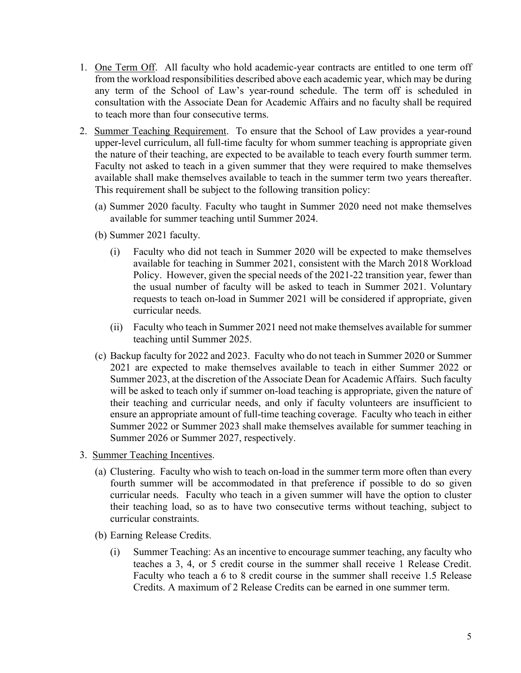- 1. One Term Off. All faculty who hold academic-year contracts are entitled to one term off from the workload responsibilities described above each academic year, which may be during any term of the School of Law's year-round schedule. The term off is scheduled in consultation with the Associate Dean for Academic Affairs and no faculty shall be required to teach more than four consecutive terms.
- 2. Summer Teaching Requirement. To ensure that the School of Law provides a year-round upper-level curriculum, all full-time faculty for whom summer teaching is appropriate given the nature of their teaching, are expected to be available to teach every fourth summer term. Faculty not asked to teach in a given summer that they were required to make themselves available shall make themselves available to teach in the summer term two years thereafter. This requirement shall be subject to the following transition policy:
	- (a) Summer 2020 faculty*.* Faculty who taught in Summer 2020 need not make themselves available for summer teaching until Summer 2024.
	- (b) Summer 2021 faculty.
		- (i) Faculty who did not teach in Summer 2020 will be expected to make themselves available for teaching in Summer 2021, consistent with the March 2018 Workload Policy. However, given the special needs of the 2021-22 transition year, fewer than the usual number of faculty will be asked to teach in Summer 2021. Voluntary requests to teach on-load in Summer 2021 will be considered if appropriate, given curricular needs.
		- (ii) Faculty who teach in Summer 2021 need not make themselves available for summer teaching until Summer 2025.
	- (c) Backup faculty for 2022 and 2023. Faculty who do not teach in Summer 2020 or Summer 2021 are expected to make themselves available to teach in either Summer 2022 or Summer 2023, at the discretion of the Associate Dean for Academic Affairs. Such faculty will be asked to teach only if summer on-load teaching is appropriate, given the nature of their teaching and curricular needs, and only if faculty volunteers are insufficient to ensure an appropriate amount of full-time teaching coverage. Faculty who teach in either Summer 2022 or Summer 2023 shall make themselves available for summer teaching in Summer 2026 or Summer 2027, respectively.
- 3. Summer Teaching Incentives.
	- (a) Clustering. Faculty who wish to teach on-load in the summer term more often than every fourth summer will be accommodated in that preference if possible to do so given curricular needs. Faculty who teach in a given summer will have the option to cluster their teaching load, so as to have two consecutive terms without teaching, subject to curricular constraints.
	- (b) Earning Release Credits.
		- (i) Summer Teaching: As an incentive to encourage summer teaching, any faculty who teaches a 3, 4, or 5 credit course in the summer shall receive 1 Release Credit. Faculty who teach a 6 to 8 credit course in the summer shall receive 1.5 Release Credits. A maximum of 2 Release Credits can be earned in one summer term.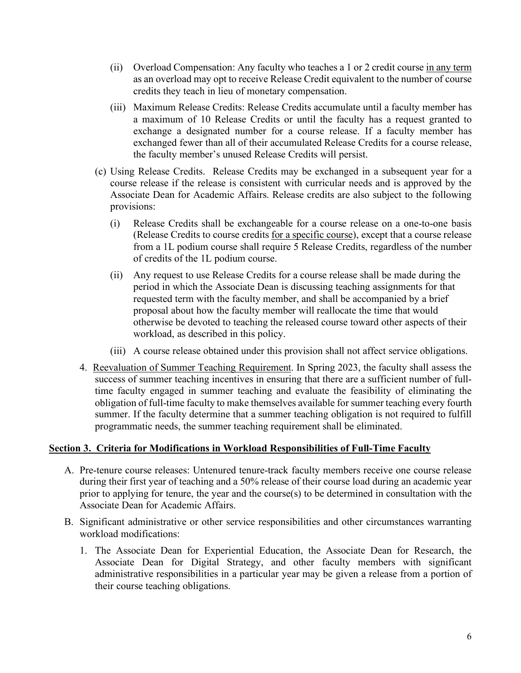- (ii) Overload Compensation: Any faculty who teaches a 1 or 2 credit course in any term as an overload may opt to receive Release Credit equivalent to the number of course credits they teach in lieu of monetary compensation.
- (iii) Maximum Release Credits: Release Credits accumulate until a faculty member has a maximum of 10 Release Credits or until the faculty has a request granted to exchange a designated number for a course release. If a faculty member has exchanged fewer than all of their accumulated Release Credits for a course release, the faculty member's unused Release Credits will persist.
- (c) Using Release Credits. Release Credits may be exchanged in a subsequent year for a course release if the release is consistent with curricular needs and is approved by the Associate Dean for Academic Affairs. Release credits are also subject to the following provisions:
	- (i) Release Credits shall be exchangeable for a course release on a one-to-one basis (Release Credits to course credits for a specific course), except that a course release from a 1L podium course shall require 5 Release Credits, regardless of the number of credits of the 1L podium course.
	- (ii) Any request to use Release Credits for a course release shall be made during the period in which the Associate Dean is discussing teaching assignments for that requested term with the faculty member, and shall be accompanied by a brief proposal about how the faculty member will reallocate the time that would otherwise be devoted to teaching the released course toward other aspects of their workload, as described in this policy.
	- (iii) A course release obtained under this provision shall not affect service obligations.
- 4. Reevaluation of Summer Teaching Requirement. In Spring 2023, the faculty shall assess the success of summer teaching incentives in ensuring that there are a sufficient number of fulltime faculty engaged in summer teaching and evaluate the feasibility of eliminating the obligation of full-time faculty to make themselves available for summer teaching every fourth summer. If the faculty determine that a summer teaching obligation is not required to fulfill programmatic needs, the summer teaching requirement shall be eliminated.

## **Section 3. Criteria for Modifications in Workload Responsibilities of Full-Time Faculty**

- A. Pre-tenure course releases: Untenured tenure-track faculty members receive one course release during their first year of teaching and a 50% release of their course load during an academic year prior to applying for tenure, the year and the course(s) to be determined in consultation with the Associate Dean for Academic Affairs.
- B. Significant administrative or other service responsibilities and other circumstances warranting workload modifications:
	- 1. The Associate Dean for Experiential Education, the Associate Dean for Research, the Associate Dean for Digital Strategy, and other faculty members with significant administrative responsibilities in a particular year may be given a release from a portion of their course teaching obligations.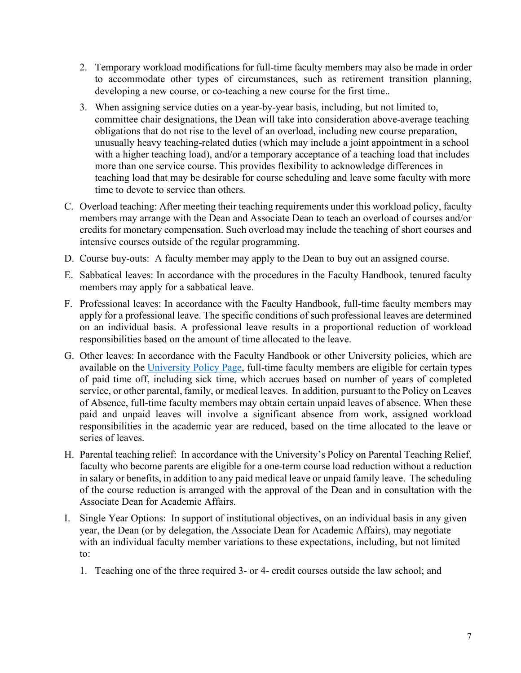- 2. Temporary workload modifications for full-time faculty members may also be made in order to accommodate other types of circumstances, such as retirement transition planning, developing a new course, or co-teaching a new course for the first time..
- 3. When assigning service duties on a year-by-year basis, including, but not limited to, committee chair designations, the Dean will take into consideration above-average teaching obligations that do not rise to the level of an overload, including new course preparation, unusually heavy teaching-related duties (which may include a joint appointment in a school with a higher teaching load), and/or a temporary acceptance of a teaching load that includes more than one service course. This provides flexibility to acknowledge differences in teaching load that may be desirable for course scheduling and leave some faculty with more time to devote to service than others.
- C. Overload teaching: After meeting their teaching requirements under this workload policy, faculty members may arrange with the Dean and Associate Dean to teach an overload of courses and/or credits for monetary compensation. Such overload may include the teaching of short courses and intensive courses outside of the regular programming.
- D. Course buy-outs: A faculty member may apply to the Dean to buy out an assigned course.
- E. Sabbatical leaves: In accordance with the procedures in the Faculty Handbook, tenured faculty members may apply for a sabbatical leave.
- F. Professional leaves: In accordance with the Faculty Handbook, full-time faculty members may apply for a professional leave. The specific conditions of such professional leaves are determined on an individual basis. A professional leave results in a proportional reduction of workload responsibilities based on the amount of time allocated to the leave.
- G. Other leaves: In accordance with the Faculty Handbook or other University policies, which are available on the University Policy Page, full-time faculty members are eligible for certain types of paid time off, including sick time, which accrues based on number of years of completed service, or other parental, family, or medical leaves. In addition, pursuant to the Policy on Leaves of Absence, full-time faculty members may obtain certain unpaid leaves of absence. When these paid and unpaid leaves will involve a significant absence from work, assigned workload responsibilities in the academic year are reduced, based on the time allocated to the leave or series of leaves.
- H. Parental teaching relief: In accordance with the University's Policy on Parental Teaching Relief, faculty who become parents are eligible for a one-term course load reduction without a reduction in salary or benefits, in addition to any paid medical leave or unpaid family leave. The scheduling of the course reduction is arranged with the approval of the Dean and in consultation with the Associate Dean for Academic Affairs.
- I. Single Year Options: In support of institutional objectives, on an individual basis in any given year, the Dean (or by delegation, the Associate Dean for Academic Affairs), may negotiate with an individual faculty member variations to these expectations, including, but not limited to:
	- 1. Teaching one of the three required 3- or 4- credit courses outside the law school; and